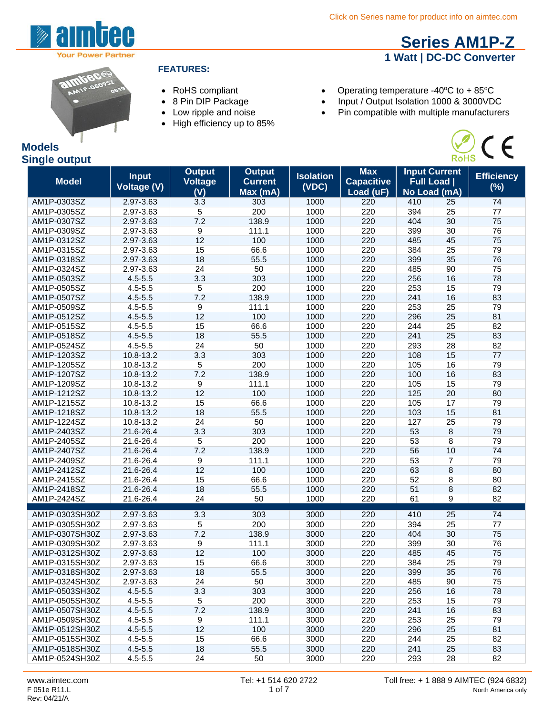**Series AM1P-Z 1 Watt | DC-DC Converter**

 $\widetilde{\mathsf{RoHS}}$ 

C E





#### **FEATURES:**

- 
- 
- 
- High efficiency up to 85%
- RoHS compliant **•** Operating temperature -40°C to + 85°C
- 8 Pin DIP Package Input / Output Isolation 1000 & 3000VDC
- Low ripple and noise **•** Pin compatible with multiple manufacturers

| <b>Models</b>        |  |
|----------------------|--|
| <b>Single output</b> |  |

#### **Model Input Voltage (V) Output Voltage (V) Output Current Max (mA) Isolation (VDC) Max Capacitive Load (uF) Input Current Full Load | No Load (mA) Efficiency (%)** AM1P-0303SZ 2.97-3.63 3.3 303 1000 220 410 25 74 AM1P-0305SZ 2.97-3.63 5 200 1000 220 394 25 77 AM1P-0307SZ 2.97-3.63 7.2 138.9 1000 220 404 30 75 AM1P-0309SZ 2.97-3.63 9 111.1 1000 220 399 30 76 AM1P-0312SZ 2.97-3.63 12 100 1000 220 485 45 75 AM1P-0315SZ 2.97-3.63 15 66.6 1000 220 384 25 79 AM1P-0318SZ 2.97-3.63 18 55.5 1000 220 399 35 76 AM1P-0324SZ 2.97-3.63 24 50 1000 220 485 90 75 AM1P-0503SZ 4.5-5.5 3.3 303 1000 220 256 16 78 AM1P-0505SZ 4.5-5.5 5 200 1000 220 253 15 79 AM1P-0507SZ 4.5-5.5 7.2 138.9 1000 220 241 16 83 AM1P-0509SZ 4.5-5.5 9 111.1 1000 220 253 25 79 AM1P-0512SZ 4.5-5.5 12 100 1000 220 296 25 81 AM1P-0515SZ 4.5-5.5 15 66.6 1000 220 244 25 82 AM1P-0518SZ 4.5-5.5 18 55.5 1000 220 241 25 83 AM1P-0524SZ 4.5-5.5 24 50 1000 220 293 28 82 AM1P-1203SZ 10.8-13.2 3.3 303 1000 220 108 15 77 AM1P-1205SZ 10.8-13.2 5 200 1000 220 105 16 79 AM1P-1207SZ 10.8-13.2 7.2 138.9 1000 220 100 16 83 AM1P-1209SZ 10.8-13.2 9 111.1 1000 220 105 15 79 AM1P-1212SZ 10.8-13.2 12 100 1000 220 125 20 80 AM1P-1215SZ 10.8-13.2 15 66.6 1000 220 105 17 79 AM1P-1218SZ 10.8-13.2 18 55.5 1000 220 103 15 81 AM1P-1224SZ 10.8-13.2 24 50 1000 220 127 25 79 AM1P-2403SZ 21.6-26.4 3.3 303 1000 220 53 8 79 AM1P-2405SZ 21.6-26.4 5 200 1000 220 53 8 79 AM1P-2407SZ 21.6-26.4 7.2 138.9 1000 220 56 10 74 AM1P-2409SZ 21.6-26.4 9 111.1 1000 220 53 7 79 AM1P-2412SZ 21.6-26.4 12 100 1000 220 63 8 80 AM1P-2415SZ 21.6-26.4 15 66.6 1000 220 52 8 80 AM1P-2418SZ 21.6-26.4 18 55.5 1000 220 51 8 82 AM1P-2424SZ 21.6-26.4 24 50 1000 220 61 9 82 AM1P-0303SH30Z 2.97-3.63 3.3 303 3000 220 410 25 74 AM1P-0305SH30Z 2.97-3.63 5 200 3000 220 394 25 77 AM1P-0307SH30Z 2.97-3.63 7.2 138.9 3000 220 404 30 75 AM1P-0309SH30Z 2.97-3.63 9 111.1 3000 220 399 30 76 AM1P-0312SH30Z 2.97-3.63 12 100 3000 220 485 45 75 AM1P-0315SH30Z 2.97-3.63 15 66.6 3000 220 384 25 79 AM1P-0318SH30Z 2.97-3.63 18 55.5 3000 220 399 35 76 AM1P-0324SH30Z 2.97-3.63 24 50 3000 220 485 90 75 AM1P-0503SH30Z 4.5-5.5 3.3 303 3000 220 256 16 78 AM1P-0505SH30Z 4.5-5.5 5 200 3000 220 253 15 79 AM1P-0507SH30Z 4.5-5.5 7.2 138.9 3000 220 241 16 83 AM1P-0509SH30Z 4.5-5.5 9 111.1 3000 220 253 25 79 AM1P-0512SH30Z 4.5-5.5 12 100 3000 220 296 25 81 AM1P-0515SH30Z 4.5-5.5 15 66.6 3000 220 244 25 82 AM1P-0518SH30Z 4.5-5.5 18 55.5 3000 220 241 25 83 AM1P-0524SH30Z 4.5-5.5 24 50 3000 220 293 28 82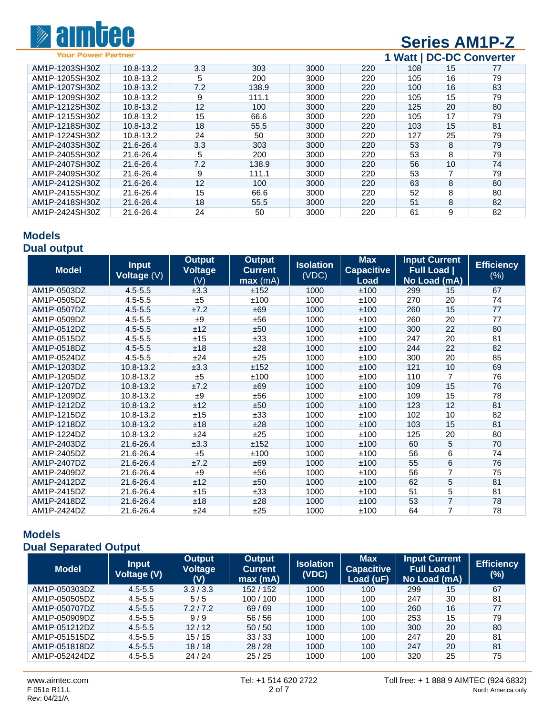

# **Series AM1P-Z**

**Your Power Partner** 

# **1 Watt | DC-DC Converter**

| AM1P-1203SH30Z | 10.8-13.2 | 3.3 | 303   | 3000 | 220 | 108 | 15 | 77 |
|----------------|-----------|-----|-------|------|-----|-----|----|----|
| AM1P-1205SH30Z | 10.8-13.2 | 5   | 200   | 3000 | 220 | 105 | 16 | 79 |
| AM1P-1207SH30Z | 10.8-13.2 | 7.2 | 138.9 | 3000 | 220 | 100 | 16 | 83 |
| AM1P-1209SH30Z | 10.8-13.2 | 9   | 111.1 | 3000 | 220 | 105 | 15 | 79 |
| AM1P-1212SH30Z | 10.8-13.2 | 12  | 100   | 3000 | 220 | 125 | 20 | 80 |
| AM1P-1215SH30Z | 10.8-13.2 | 15  | 66.6  | 3000 | 220 | 105 | 17 | 79 |
| AM1P-1218SH30Z | 10.8-13.2 | 18  | 55.5  | 3000 | 220 | 103 | 15 | 81 |
| AM1P-1224SH30Z | 10.8-13.2 | 24  | 50    | 3000 | 220 | 127 | 25 | 79 |
| AM1P-2403SH30Z | 21.6-26.4 | 3.3 | 303   | 3000 | 220 | 53  | 8  | 79 |
| AM1P-2405SH30Z | 21.6-26.4 | 5   | 200   | 3000 | 220 | 53  | 8  | 79 |
| AM1P-2407SH30Z | 21.6-26.4 | 7.2 | 138.9 | 3000 | 220 | 56  | 10 | 74 |
| AM1P-2409SH30Z | 21.6-26.4 | 9   | 111.1 | 3000 | 220 | 53  |    | 79 |
| AM1P-2412SH30Z | 21.6-26.4 | 12  | 100   | 3000 | 220 | 63  | 8  | 80 |
| AM1P-2415SH30Z | 21.6-26.4 | 15  | 66.6  | 3000 | 220 | 52  | 8  | 80 |
| AM1P-2418SH30Z | 21.6-26.4 | 18  | 55.5  | 3000 | 220 | 51  | 8  | 82 |
| AM1P-2424SH30Z | 21.6-26.4 | 24  | 50    | 3000 | 220 | 61  | 9  | 82 |

#### **Models Dual output**

| <b>Model</b> | <b>Input</b><br>Voltage (V) | <b>Output</b><br>Voltage<br>(V) | <b>Output</b><br><b>Current</b><br>max(mA) | <b>Isolation</b><br>(VDC) | <b>Max</b><br><b>Capacitive</b><br>Load | <b>Full Load</b> | <b>Input Current</b><br>No Load (mA) | <b>Efficiency</b><br>$(\%)$ |
|--------------|-----------------------------|---------------------------------|--------------------------------------------|---------------------------|-----------------------------------------|------------------|--------------------------------------|-----------------------------|
| AM1P-0503DZ  | $4.5 - 5.5$                 | ±3.3                            | ±152                                       | 1000                      | ±100                                    | 299              | 15                                   | 67                          |
| AM1P-0505DZ  | $4.5 - 5.5$                 | ±5                              | ±100                                       | 1000                      | ±100                                    | 270              | 20                                   | 74                          |
| AM1P-0507DZ  | $4.5 - 5.5$                 | ±7.2                            | ±69                                        | 1000                      | ±100                                    | 260              | 15                                   | 77                          |
| AM1P-0509DZ  | $4.5 - 5.5$                 | ±9                              | ±56                                        | 1000                      | ±100                                    | 260              | 20                                   | 77                          |
| AM1P-0512DZ  | $4.5 - 5.5$                 | ±12                             | ±50                                        | 1000                      | ±100                                    | 300              | 22                                   | 80                          |
| AM1P-0515DZ  | $4.5 - 5.5$                 | ±15                             | ±33                                        | 1000                      | ±100                                    | 247              | 20                                   | 81                          |
| AM1P-0518DZ  | $4.5 - 5.5$                 | ±18                             | ±28                                        | 1000                      | ±100                                    | 244              | 22                                   | 82                          |
| AM1P-0524DZ  | $4.5 - 5.5$                 | ±24                             | ±25                                        | 1000                      | ±100                                    | 300              | 20                                   | 85                          |
| AM1P-1203DZ  | 10.8-13.2                   | ±3.3                            | ±152                                       | 1000                      | ±100                                    | 121              | 10                                   | 69                          |
| AM1P-1205DZ  | 10.8-13.2                   | ±5                              | ±100                                       | 1000                      | ±100                                    | 110              | $\overline{7}$                       | 76                          |
| AM1P-1207DZ  | 10.8-13.2                   | ±7.2                            | ±69                                        | 1000                      | ±100                                    | 109              | 15                                   | 76                          |
| AM1P-1209DZ  | 10.8-13.2                   | ±9                              | ±56                                        | 1000                      | ±100                                    | 109              | 15                                   | 78                          |
| AM1P-1212DZ  | 10.8-13.2                   | ±12                             | ±50                                        | 1000                      | ±100                                    | 123              | 12                                   | 81                          |
| AM1P-1215DZ  | 10.8-13.2                   | ±15                             | ±33                                        | 1000                      | ±100                                    | 102              | 10                                   | 82                          |
| AM1P-1218DZ  | 10.8-13.2                   | ±18                             | ±28                                        | 1000                      | ±100                                    | 103              | 15                                   | 81                          |
| AM1P-1224DZ  | 10.8-13.2                   | ±24                             | ±25                                        | 1000                      | ±100                                    | 125              | 20                                   | 80                          |
| AM1P-2403DZ  | 21.6-26.4                   | ±3.3                            | ±152                                       | 1000                      | ±100                                    | 60               | 5                                    | 70                          |
| AM1P-2405DZ  | 21.6-26.4                   | ±5                              | ±100                                       | 1000                      | ±100                                    | 56               | 6                                    | 74                          |
| AM1P-2407DZ  | 21.6-26.4                   | ±7.2                            | ±69                                        | 1000                      | ±100                                    | 55               | 6                                    | 76                          |
| AM1P-2409DZ  | 21.6-26.4                   | ±9                              | ±56                                        | 1000                      | ±100                                    | 56               | 7                                    | 75                          |
| AM1P-2412DZ  | 21.6-26.4                   | ±12                             | ±50                                        | 1000                      | ±100                                    | 62               | 5                                    | 81                          |
| AM1P-2415DZ  | 21.6-26.4                   | ±15                             | ±33                                        | 1000                      | ±100                                    | 51               | 5                                    | 81                          |
| AM1P-2418DZ  | 21.6-26.4                   | ±18                             | ±28                                        | 1000                      | ±100                                    | 53               | $\overline{7}$                       | 78                          |
| AM1P-2424DZ  | 21.6-26.4                   | ±24                             | ±25                                        | 1000                      | ±100                                    | 64               | $\overline{7}$                       | 78                          |

#### **Models Dual Separated Output**

| <b>Model</b>  | <b>Input</b><br><b>Voltage (V)</b> | <b>Output</b><br><b>Voltage</b><br>(V) | <b>Output</b><br><b>Current</b><br>max(mA) | <b>Isolation</b><br>(VDC) | <b>Max</b><br><b>Capacitive</b><br>Load (uF) |     | <b>Input Current</b><br><b>Full Load  </b><br>No Load (mA) | <b>Efficiency</b><br>(%) |
|---------------|------------------------------------|----------------------------------------|--------------------------------------------|---------------------------|----------------------------------------------|-----|------------------------------------------------------------|--------------------------|
| AM1P-050303DZ | $4.5 - 5.5$                        | 3.3 / 3.3                              | 152 / 152                                  | 1000                      | 100                                          | 299 | 15                                                         | 67                       |
| AM1P-050505DZ | $4.5 - 5.5$                        | 5/5                                    | 100/100                                    | 1000                      | 100                                          | 247 | 30                                                         | 81                       |
| AM1P-050707DZ | $4.5 - 5.5$                        | 7.2/7.2                                | 69/69                                      | 1000                      | 100                                          | 260 | 16                                                         | 77                       |
| AM1P-050909DZ | $4.5 - 5.5$                        | 9/9                                    | 56/56                                      | 1000                      | 100                                          | 253 | 15                                                         | 79                       |
| AM1P-051212DZ | $4.5 - 5.5$                        | 12/12                                  | 50/50                                      | 1000                      | 100                                          | 300 | 20                                                         | 80                       |
| AM1P-051515DZ | $4.5 - 5.5$                        | 15/15                                  | 33/33                                      | 1000                      | 100                                          | 247 | 20                                                         | 81                       |
| AM1P-051818DZ | $4.5 - 5.5$                        | 18/18                                  | 28/28                                      | 1000                      | 100                                          | 247 | 20                                                         | 81                       |
| AM1P-052424DZ | $4.5 - 5.5$                        | 24/24                                  | 25/25                                      | 1000                      | 100                                          | 320 | 25                                                         | 75                       |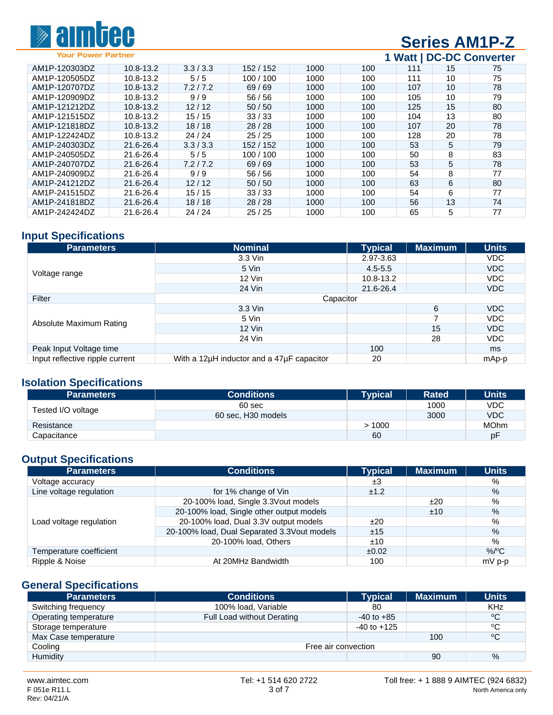

# **Series AM1P-Z**

**1 Watt | DC-DC Converter**

| AM1P-120303DZ | 10.8-13.2 | 3.3/3.3 | 152 / 152 | 1000 | 100 | 111 | 15 | 75 |
|---------------|-----------|---------|-----------|------|-----|-----|----|----|
| AM1P-120505DZ | 10.8-13.2 | 5/5     | 100/100   | 1000 | 100 | 111 | 10 | 75 |
| AM1P-120707DZ | 10.8-13.2 | 7.2/7.2 | 69/69     | 1000 | 100 | 107 | 10 | 78 |
| AM1P-120909DZ | 10.8-13.2 | 9/9     | 56/56     | 1000 | 100 | 105 | 10 | 79 |
| AM1P-121212DZ | 10.8-13.2 | 12/12   | 50/50     | 1000 | 100 | 125 | 15 | 80 |
| AM1P-121515DZ | 10.8-13.2 | 15/15   | 33/33     | 1000 | 100 | 104 | 13 | 80 |
| AM1P-121818DZ | 10.8-13.2 | 18/18   | 28/28     | 1000 | 100 | 107 | 20 | 78 |
| AM1P-122424DZ | 10.8-13.2 | 24/24   | 25/25     | 1000 | 100 | 128 | 20 | 78 |
| AM1P-240303DZ | 21.6-26.4 | 3.3/3.3 | 152 / 152 | 1000 | 100 | 53  | 5  | 79 |
| AM1P-240505DZ | 21.6-26.4 | 5/5     | 100/100   | 1000 | 100 | 50  | 8  | 83 |
| AM1P-240707DZ | 21.6-26.4 | 7.2/7.2 | 69/69     | 1000 | 100 | 53  | 5  | 78 |
| AM1P-240909DZ | 21.6-26.4 | 9/9     | 56/56     | 1000 | 100 | 54  | 8  | 77 |
| AM1P-241212DZ | 21.6-26.4 | 12/12   | 50/50     | 1000 | 100 | 63  | 6  | 80 |
| AM1P-241515DZ | 21.6-26.4 | 15/15   | 33/33     | 1000 | 100 | 54  | 6  | 77 |
| AM1P-241818DZ | 21.6-26.4 | 18/18   | 28/28     | 1000 | 100 | 56  | 13 | 74 |
| AM1P-242424DZ | 21.6-26.4 | 24/24   | 25/25     | 1000 | 100 | 65  | 5  | 77 |
|               |           |         |           |      |     |     |    |    |

## **Input Specifications**

| <b>Parameters</b>               | Nominal                                   | <b>Typical</b> | <b>Maximum</b> | <b>Units</b> |  |
|---------------------------------|-------------------------------------------|----------------|----------------|--------------|--|
|                                 | 3.3 Vin                                   | 2.97-3.63      |                | VDC.         |  |
|                                 | 5 Vin                                     | $4.5 - 5.5$    |                | <b>VDC</b>   |  |
| Voltage range                   | $12$ Vin                                  | 10.8-13.2      |                | VDC          |  |
|                                 | 24 Vin                                    | 21.6-26.4      |                | <b>VDC</b>   |  |
| Filter                          | Capacitor                                 |                |                |              |  |
|                                 | 3.3 Vin                                   |                | 6              | <b>VDC</b>   |  |
| Absolute Maximum Rating         | 5 Vin                                     |                |                | VDC          |  |
|                                 | $12$ Vin                                  |                | 15             | <b>VDC</b>   |  |
|                                 | 24 Vin                                    |                | 28             | VDC          |  |
| Peak Input Voltage time         |                                           | 100            |                | ms           |  |
| Input reflective ripple current | With a 12µH inductor and a 47µF capacitor | 20             |                | mAp-p        |  |

#### **Isolation Specifications**

| <b>Parameters</b>  | <b>Conditions</b>  | Typical | <b>Rated</b> | <b>Units</b> |
|--------------------|--------------------|---------|--------------|--------------|
|                    | 60 sec             |         | 1000         | VDC          |
| Tested I/O voltage | 60 sec, H30 models |         | 3000         | <b>VDC</b>   |
| Resistance         |                    | >1000   |              | <b>MOhm</b>  |
| Capacitance        |                    | 60      |              | рF           |

# **Output Specifications**

| <b>Parameters</b>       | <b>Conditions</b>                           | <b>Typical</b> | <b>Maximum</b> | <b>Units</b>    |
|-------------------------|---------------------------------------------|----------------|----------------|-----------------|
| Voltage accuracy        |                                             | ±3             |                | %               |
| Line voltage regulation | for 1% change of Vin                        | ±1.2           |                | $\%$            |
|                         | 20-100% load, Single 3.3Vout models         |                | ±20            | %               |
|                         | 20-100% load, Single other output models    |                | ±10            | $\%$            |
| Load voltage regulation | 20-100% load, Dual 3.3V output models       | ±20            |                | %               |
|                         | 20-100% load, Dual Separated 3.3Vout models | ±15            |                | $\%$            |
|                         | 20-100% load, Others                        | ±10            |                | %               |
| Temperature coefficient |                                             | ±0.02          |                | %/ $\rm ^{o}$ C |
| Ripple & Noise          | At 20MHz Bandwidth                          | 100            |                | $mV$ p-p        |

#### **General Specifications**

| <b>Parameters</b>     | <b>Conditions</b>          | Tvpical         | <b>Maximum</b> | <b>Units</b> |  |
|-----------------------|----------------------------|-----------------|----------------|--------------|--|
| Switching frequency   | 100% load, Variable        | 80              |                | <b>KHz</b>   |  |
| Operating temperature | Full Load without Derating | $-40$ to $+85$  |                | $^{\circ}$ C |  |
| Storage temperature   |                            | $-40$ to $+125$ |                | $^{\circ}$ C |  |
| Max Case temperature  |                            |                 | 100            | $\rm ^{o}C$  |  |
| Cooling               | Free air convection        |                 |                |              |  |
| Humidity              |                            |                 | 90             | $\%$         |  |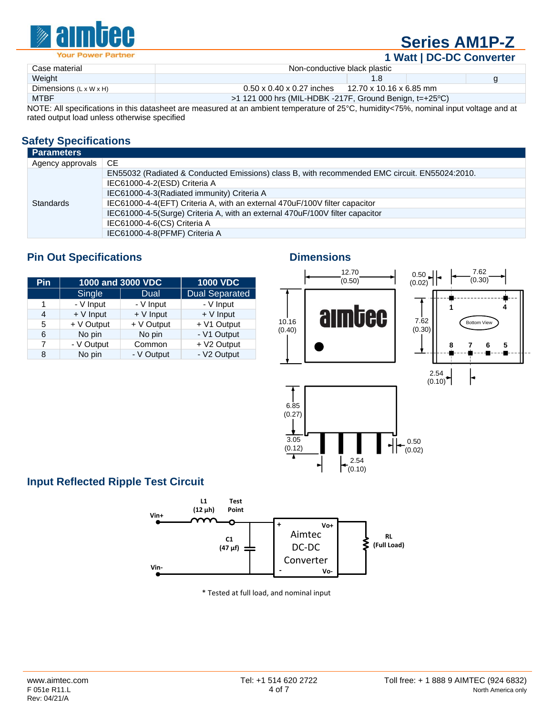

# **Series AM1P-Z**

**1 Watt | DC-DC Converter**

|                                    |                                                                                                                                         |                         |  | ___________ |  |
|------------------------------------|-----------------------------------------------------------------------------------------------------------------------------------------|-------------------------|--|-------------|--|
| Case material                      | Non-conductive black plastic                                                                                                            |                         |  |             |  |
| Weight                             |                                                                                                                                         |                         |  |             |  |
| Dimensions $(L \times W \times H)$ | $0.50 \times 0.40 \times 0.27$ inches                                                                                                   | 12.70 x 10.16 x 6.85 mm |  |             |  |
| <b>MTBF</b>                        | $>1$ 121 000 hrs (MIL-HDBK -217F, Ground Benign, t=+25 °C)                                                                              |                         |  |             |  |
|                                    | NOTE: All epocifications in this datasheet are measured at an ambient temperature of 25%. humidity $75\%$ perminal input veltage and at |                         |  |             |  |

NOTE: All specifications in this datasheet are measured at an ambient temperature of 25°C, humidity<75%, nominal input voltage and at rated output load unless otherwise specified

### **Safety Specifications**

| <b>Parameters</b> |                                                                                               |
|-------------------|-----------------------------------------------------------------------------------------------|
| Agency approvals  | <b>CE</b>                                                                                     |
|                   | EN55032 (Radiated & Conducted Emissions) class B, with recommended EMC circuit. EN55024:2010. |
|                   | IEC61000-4-2(ESD) Criteria A                                                                  |
|                   | IEC61000-4-3(Radiated immunity) Criteria A                                                    |
| <b>Standards</b>  | IEC61000-4-4(EFT) Criteria A, with an external 470uF/100V filter capacitor                    |
|                   | IEC61000-4-5(Surge) Criteria A, with an external 470uF/100V filter capacitor                  |
|                   | IEC61000-4-6(CS) Criteria A                                                                   |
|                   | IEC61000-4-8(PFMF) Criteria A                                                                 |

#### **Pin Out Specifications Dimensions** Dimensions

| Pin | 1000 and 3000 VDC | <b>1000 VDC</b> |                       |
|-----|-------------------|-----------------|-----------------------|
|     | Single            | Dual            | <b>Dual Separated</b> |
|     | - V Input         | - V Input       | - V Input             |
| 4   | $+V$ Input        | $+V$ Input      | $+V$ Input            |
| 5   | + V Output        | + V Output      | + V1 Output           |
| 6   | No pin            | No pin          | - V1 Output           |
|     | - V Output        | Common          | + V2 Output           |
| 8   | No pin            | - V Output      | - V2 Output           |







## **Input Reflected Ripple Test Circuit**



\* Tested at full load, and nominal input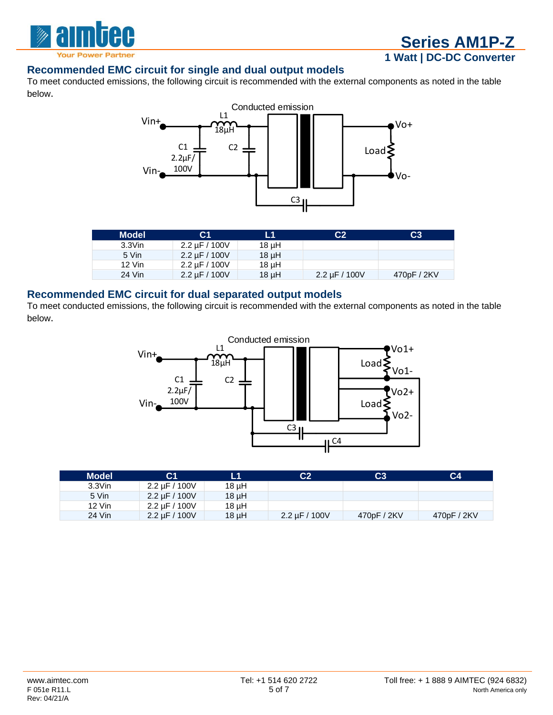

#### **Recommended EMC circuit for single and dual output models**

To meet conducted emissions, the following circuit is recommended with the external components as noted in the table below.



| <b>Model</b> | С1                  | L1         | C <sub>2</sub>     | C <sub>3</sub> |
|--------------|---------------------|------------|--------------------|----------------|
| $3.3$ Vin    | 2.2 $\mu$ F / 100V  | $18 \mu H$ |                    |                |
| 5 Vin        | $2.2 \mu F / 100 V$ | $18 \mu H$ |                    |                |
| 12 Vin       | 2.2 uF / 100V       | $18 \mu H$ |                    |                |
| 24 Vin       | 2.2 $\mu$ F / 100V  | $18 \mu H$ | 2.2 $\mu$ F / 100V | 470pF / 2KV    |

#### **Recommended EMC circuit for dual separated output models**

To meet conducted emissions, the following circuit is recommended with the external components as noted in the table below.



| <b>Model</b> | С1                  | L1         | C2                  | C3'         | C4          |
|--------------|---------------------|------------|---------------------|-------------|-------------|
| $3.3$ Vin    | 2.2 uF / 100V       | 18 µH      |                     |             |             |
| 5 Vin        | $2.2 \mu F / 100 V$ | $18 \mu H$ |                     |             |             |
| 12 Vin       | $2.2 \mu F / 100 V$ | 18 µH      |                     |             |             |
| 24 Vin       | $2.2 \mu F / 100 V$ | $18 \mu H$ | $2.2 \mu F / 100 V$ | 470pF / 2KV | 470pF / 2KV |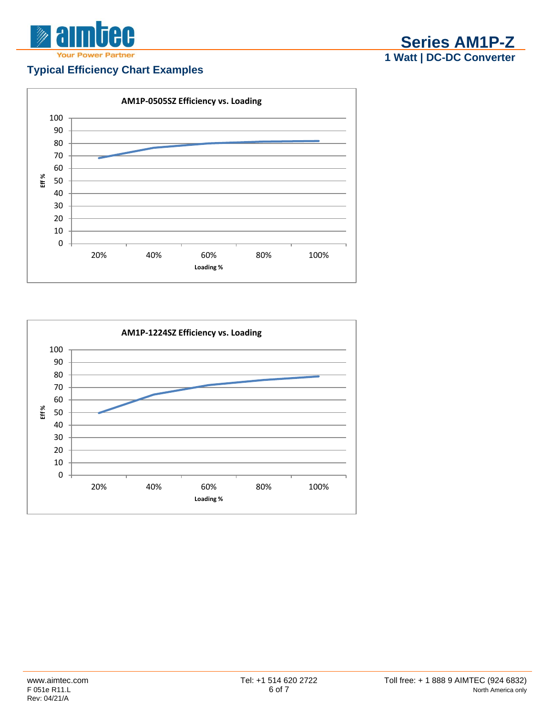

## **Typical Efficiency Chart Examples**





**Series AM1P-Z Watt | DC-DC Converter**